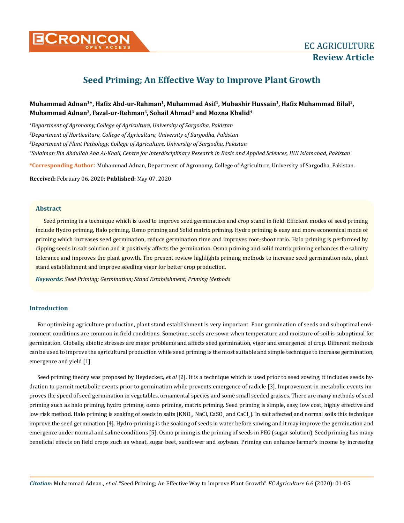

# **Seed Priming; An Effective Way to Improve Plant Growth**

# **Muhammad Adnan1\*, Hafiz Abd-ur-Rahman1, Muhammad Asif1, Mubashir Hussain<sup>1</sup>, Hafiz Muhammad Bilal2, Muhammad Adnan2, Fazal-ur-Rehman3, Sohail Ahmad3 and Mozna Khalid<sup>4</sup>**

 *Department of Agronomy, College of Agriculture, University of Sargodha, Pakistan Department of Horticulture, College of Agriculture, University of Sargodha, Pakistan Department of Plant Pathology, College of Agriculture, University of Sargodha, Pakistan Sulaiman Bin Abdullah Aba Al-Khail, Centre for Interdisciplinary Research in Basic and Applied Sciences, IIUI Islamabad, Pakistan*

**\*Corresponding Author**: Muhammad Adnan, Department of Agronomy, College of Agriculture, University of Sargodha, Pakistan.

**Received:** February 06, 2020; **Published:** May 07, 2020

#### **Abstract**

Seed priming is a technique which is used to improve seed germination and crop stand in field. Efficient modes of seed priming include Hydro priming, Halo priming, Osmo priming and Solid matrix priming. Hydro priming is easy and more economical mode of priming which increases seed germination, reduce germination time and improves root-shoot ratio. Halo priming is performed by dipping seeds in salt solution and it positively affects the germination. Osmo priming and solid matrix priming enhances the salinity tolerance and improves the plant growth. The present review highlights priming methods to increase seed germination rate, plant stand establishment and improve seedling vigor for better crop production.

*Keywords: Seed Priming; Germination; Stand Establishment; Priming Methods* 

## **Introduction**

For optimizing agriculture production, plant stand establishment is very important. Poor germination of seeds and suboptimal environment conditions are common in field conditions. Sometime, seeds are sown when temperature and moisture of soil is suboptimal for germination. Globally, abiotic stresses are major problems and affects seed germination, vigor and emergence of crop. Different methods can be used to improve the agricultural production while seed priming is the most suitable and simple technique to increase germination, emergence and yield [1].

Seed priming theory was proposed by Heydecker., *et al* [2]. It is a technique which is used prior to seed sowing, it includes seeds hydration to permit metabolic events prior to germination while prevents emergence of radicle [3]. Improvement in metabolic events improves the speed of seed germination in vegetables, ornamental species and some small seeded grasses. There are many methods of seed priming such as halo priming, hydro priming, osmo priming, matrix priming. Seed priming is simple, easy, low cost, highly effective and low risk method. Halo priming is soaking of seeds in salts (KNO $_{\rm y}$  NaCl, CaSO $_{\rm 4}$  and CaCl $_{\rm 2}$ ). In salt affected and normal soils this technique improve the seed germination [4]. Hydro-priming is the soaking of seeds in water before sowing and it may improve the germination and emergence under normal and saline conditions [5]. Osmo priming is the priming of seeds in PEG (sugar solution). Seed priming has many beneficial effects on field crops such as wheat, sugar beet, sunflower and soybean. Priming can enhance farmer's income by increasing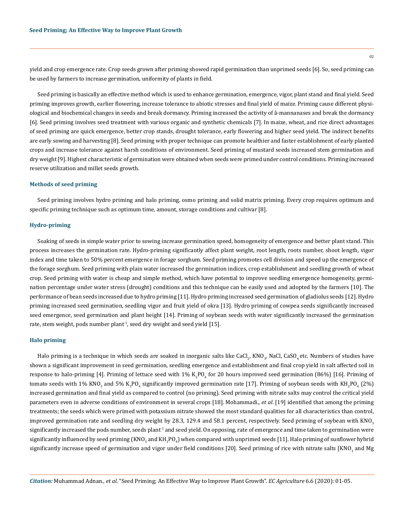yield and crop emergence rate. Crop seeds grown after priming showed rapid germination than unprimed seeds [6]. So, seed priming can be used by farmers to increase germination, uniformity of plants in field.

Seed priming is basically an effective method which is used to enhance germination, emergence, vigor, plant stand and final yield. Seed priming improves growth, earlier flowering, increase tolerance to abiotic stresses and final yield of maize. Priming cause different physiological and biochemical changes in seeds and break dormancy. Priming increased the activity of â-mannanases and break the dormancy [6]. Seed priming involves seed treatment with various organic and synthetic chemicals [7]. In maize, wheat, and rice direct advantages of seed priming are quick emergence, better crop stands, drought tolerance, early flowering and higher seed yield. The indirect benefits are early sowing and harvesting [8]. Seed priming with proper technique can promote healthier and faster establishment of early planted crops and increase tolerance against harsh conditions of environment. Seed priming of mustard seeds increased stem germination and dry weight [9]. Highest characteristic of germination were obtained when seeds were primed under control conditions. Priming increased reserve utilization and millet seeds growth.

#### **Methods of seed priming**

Seed priming involves hydro priming and halo priming, osmo priming and solid matrix priming. Every crop requires optimum and specific priming technique such as optimum time, amount, storage conditions and cultivar [8].

#### **Hydro-priming**

Soaking of seeds in simple water prior to sowing increase germination speed, homogeneity of emergence and better plant stand. This process increases the germination rate. Hydro-priming significantly affect plant weight, root length, roots number, shoot length, vigor index and time taken to 50% percent emergence in forage sorghum. Seed priming promotes cell division and speed up the emergence of the forage sorghum. Seed priming with plain water increased the germination indices, crop establishment and seedling growth of wheat crop. Seed priming with water is cheap and simple method, which have potential to improve seedling emergence homogeneity, germination percentage under water stress (drought) conditions and this technique can be easily used and adopted by the farmers [10]. The performance of bean seeds increased due to hydro priming [11]. Hydro priming increased seed germination of gladiolus seeds [12]. Hydro priming increased seed germination, seedling vigor and fruit yield of okra [13]. Hydro priming of cowpea seeds significantly increased seed emergence, seed germination and plant height [14]. Priming of soybean seeds with water significantly increased the germination rate, stem weight, pods number plant<sup>-1</sup>, seed dry weight and seed yield [15].

#### **Halo priming**

Halo priming is a technique in which seeds are soaked in inorganic salts like CaCl<sub>2</sub>, KNO<sub>3</sub>, NaCl, CaSO<sub>4</sub> etc. Numbers of studies have shown a significant improvement in seed germination, seedling emergence and establishment and final crop yield in salt affected soil in response to halo-priming [4]. Priming of lettuce seed with  $1\%$  K<sub>3</sub>PO<sub>4</sub> for 20 hours improved seed germination (86%) [16]. Priming of tomato seeds with 1% KNO<sub>3</sub> and 5% K<sub>3</sub>PO<sub>4</sub> significantly improved germination rate [17]. Priming of soybean seeds with KH<sub>2</sub>PO<sub>4</sub> (2%) increased germination and final yield as compared to control (no priming). Seed priming with nitrate salts may control the critical yield parameters even in adverse conditions of environment in several crops [18]. Mohammadi., *et al*. [19] identified that among the priming treatments; the seeds which were primed with potassium nitrate showed the most standard qualities for all characteristics than control, improved germination rate and seedling dry weight by 28.3, 129.4 and 58.1 percent, respectively. Seed priming of soybean with  $KNO<sub>3</sub>$ significantly increased the pods number, seeds plant<sup>1</sup> and seed yield. On opposing, rate of emergence and time taken to germination were significantly influenced by seed priming  $\mathsf{(KNO}_3$  and  $\mathsf{KH}_2\mathsf{PO}_4\mathsf{)}$  when compared with unprimed seeds [11]. Halo priming of sunflower hybrid significantly increase speed of germination and vigor under field conditions [20]. Seed priming of rice with nitrate salts [KNO<sub>3</sub> and Mg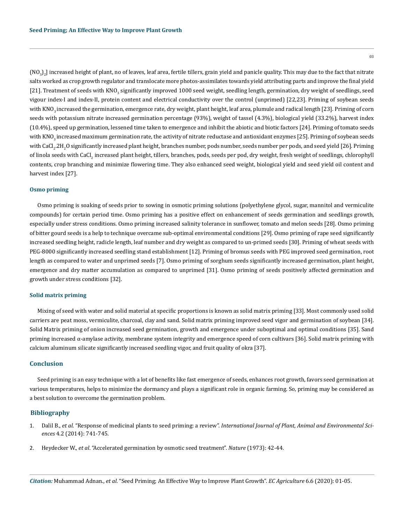(NO $_{3})_{2}$ l increased height of plant, no of leaves, leaf area, fertile tillers, grain yield and panicle quality. This may due to the fact that nitrate salts worked as crop growth regulator and translocate more photos-assimilates towards yield attributing parts and improve the final yield [21]. Treatment of seeds with KNO<sub>3</sub> significantly improved 1000 seed weight, seedling length, germination, dry weight of seedlings, seed vigour index-I and index-II, protein content and electrical conductivity over the control (unprimed) [22,23]. Priming of soybean seeds with KNO<sub>3</sub> increased the germination, emergence rate, dry weight, plant height, leaf area, plumule and radical length [23]. Priming of corn seeds with potassium nitrate increased germination percentage (93%), weight of tassel (4.3%), biological yield (33.2%), harvest index (10.4%), speed up germination, lessened time taken to emergence and inhibit the abiotic and biotic factors [24]. Priming of tomato seeds with KNO<sub>3</sub> increased maximum germination rate, the activity of nitrate reductase and antioxidant enzymes [25]. Priming of soybean seeds with CaCl $_2$ .2H $_2$ O significantly increased plant height, branches number, pods number, seeds number per pods, and seed yield [26]. Priming of linola seeds with CaCl<sub>2</sub> increased plant height, tillers, branches, pods, seeds per pod, dry weight, fresh weight of seedlings, chlorophyll contents, crop branching and minimize flowering time. They also enhanced seed weight, biological yield and seed yield oil content and harvest index [27].

#### **Osmo priming**

Osmo priming is soaking of seeds prior to sowing in osmotic priming solutions (polyethylene glycol, sugar, mannitol and vermiculite compounds) for certain period time. Osmo priming has a positive effect on enhancement of seeds germination and seedlings growth, especially under stress conditions. Osmo priming increased salinity tolerance in sunflower, tomato and melon seeds [28]. Osmo priming of bitter gourd seeds is a help to technique overcame sub-optimal environmental conditions [29]. Osmo priming of rape seed significantly increased seedling height, radicle length, leaf number and dry weight as compared to un-primed seeds [30]. Priming of wheat seeds with PEG-8000 significantly increased seedling stand establishment [12]. Priming of bromus seeds with PEG improved seed germination, root length as compared to water and unprimed seeds [7]. Osmo priming of sorghum seeds significantly increased germination, plant height, emergence and dry matter accumulation as compared to unprimed [31]. Osmo priming of seeds positively affected germination and growth under stress conditions [32].

#### **Solid matrix priming**

Mixing of seed with water and solid material at specific proportions is known as solid matrix priming [33]. Most commonly used solid carriers are peat moss, vermiculite, charcoal, clay and sand. Solid matrix priming improved seed vigor and germination of soybean [34]. Solid Matrix priming of onion increased seed germination, growth and emergence under suboptimal and optimal conditions [35]. Sand priming increased α-amylase activity, membrane system integrity and emergence speed of corn cultivars [36]. Solid matrix priming with calcium aluminum silicate significantly increased seedling vigor, and fruit quality of okra [37].

### **Conclusion**

Seed priming is an easy technique with a lot of benefits like fast emergence of seeds, enhances root growth, favors seed germination at various temperatures, helps to minimize the dormancy and plays a significant role in organic farming. So, priming may be considered as a best solution to overcome the germination problem.

### **Bibliography**

- 1. Dalil B., *et al*. "Response of medicinal plants to seed priming: a review". *[International Journal of Plant, Animal and Environmental Sci](http://www.ijpaes.com/admin/php/uploads/580_pdf.pdf)ences* [4.2 \(2014\): 741-745.](http://www.ijpaes.com/admin/php/uploads/580_pdf.pdf)
- 2. Heydecker W., *et al*[. "Accelerated germination by osmotic seed treatment".](https://www.nature.com/articles/246042a0) *Nature* (1973): 42-44.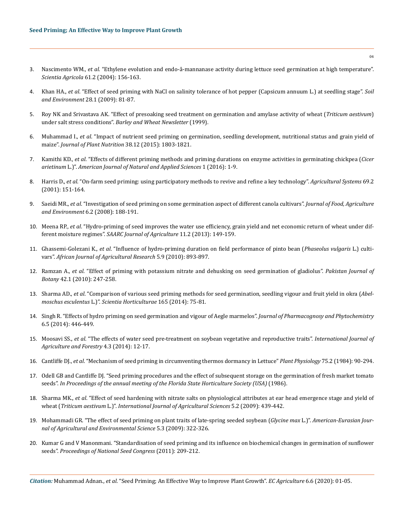- 3. Nascimento WM., *et al*[. "Ethylene evolution and endo-â-mannanase activity during lettuce seed germination at high temperature".](https://agris.fao.org/agris-search/search.do?recordID=BR2004004616)  *Scientia Agricola* [61.2 \(2004\): 156-163.](https://agris.fao.org/agris-search/search.do?recordID=BR2004004616)
- 4. Khan HA., *et al*[. "Effect of seed priming with NaCl on salinity tolerance of hot pepper \(Capsicum annuum L.\) at seedling stage".](https://www.researchgate.net/publication/237545472_Effect_of_seed_priming_with_NaCl_on_salinity_tolerance_of_hot_pepper_Capsicum_annuum_L_at_seedling_stage) *Soil and Environment* [28.1 \(2009\): 81-87.](https://www.researchgate.net/publication/237545472_Effect_of_seed_priming_with_NaCl_on_salinity_tolerance_of_hot_pepper_Capsicum_annuum_L_at_seedling_stage)
- 5. [Roy NK and Srivastava AK. "Effect of presoaking seed treatment on germination and amylase activity of wheat \(](https://agris.fao.org/agris-search/search.do?recordID=QV2000000045)*Triticum aestivum*) under salt stress conditions". *[Barley and Wheat Newsletter](https://agris.fao.org/agris-search/search.do?recordID=QV2000000045)* (1999).
- 6. Muhammad I., *et al*[. "Impact of nutrient seed priming on germination, seedling development, nutritional status and grain yield of](https://www.tandfonline.com/doi/abs/10.1080/01904167.2014.990094?journalCode=lpla20)  maize". *[Journal of Plant Nutrition](https://www.tandfonline.com/doi/abs/10.1080/01904167.2014.990094?journalCode=lpla20)* 38.12 (2015): 1803-1821.
- 7. Kamithi KD., *et al*[. "Effects of different priming methods and priming durations on enzyme activities in germinating chickpea \(](https://www.researchgate.net/publication/327052826_Effect_of_seed_priming_treatment_in_chickpea_Cicer_arietinum_L)*Cicer arietinum* L.)". *[American Journal of Natural and Applied Sciences](https://www.researchgate.net/publication/327052826_Effect_of_seed_priming_treatment_in_chickpea_Cicer_arietinum_L)* 1 (2016): 1-9.
- 8. Harris D., *et al*[. "On-farm seed priming: using participatory methods to revive and refine a key technology".](https://www.sciencedirect.com/science/article/abs/pii/S0308521X01000233) *Agricultural Systems* 69.2 [\(2001\): 151-164.](https://www.sciencedirect.com/science/article/abs/pii/S0308521X01000233)
- 9. Saeidi MR., *et al*[. "Investigation of seed priming on some germination aspect of different canola cultivars".](https://www.researchgate.net/publication/267427098_Investigation_of_seed_priming_on_some_germination_aspects_of_different_canola_cultivars) *Journal of Food, Agriculture and Environment* [6.2 \(2008\): 188-191.](https://www.researchgate.net/publication/267427098_Investigation_of_seed_priming_on_some_germination_aspects_of_different_canola_cultivars)
- 10. Meena RP., *et al*[. "Hydro-priming of seed improves the water use efficiency, grain yield and net economic return of wheat under dif](https://www.researchgate.net/publication/333893916_HYDRO-PRIMING_OF_SEED_IMPROVES_THE_WATER_USE_EFFICIENCY_GRAIN_YIELD_AND_NET_ECONOMIC_RETURN_OF_WHEAT_UNDER_DIFFERENT_MOISTURE_REGIMES)ferent moisture regimes". *[SAARC Journal of Agriculture](https://www.researchgate.net/publication/333893916_HYDRO-PRIMING_OF_SEED_IMPROVES_THE_WATER_USE_EFFICIENCY_GRAIN_YIELD_AND_NET_ECONOMIC_RETURN_OF_WHEAT_UNDER_DIFFERENT_MOISTURE_REGIMES)* 11.2 (2013): 149-159.
- 11. Ghassemi-Golezani K., *et al*[. "Influence of hydro-priming duration on field performance of pinto bean \(](https://www.researchgate.net/publication/267414933_Influence_of_hydro-priming_duration_on_field_performance_of_pinto_bean_Phaseolus_vulgaris_L_cultivars)*Phaseolus vulgaris* L.) cultivars". *[African Journal of Agricultural Research](https://www.researchgate.net/publication/267414933_Influence_of_hydro-priming_duration_on_field_performance_of_pinto_bean_Phaseolus_vulgaris_L_cultivars)* 5.9 (2010): 893-897.
- 12. Ramzan A., *et al*[. "Effect of priming with potassium nitrate and dehusking on seed germination of gladiolus".](https://www.researchgate.net/publication/265872951_Effect_Of_priming_with_potassium_nitrate_and_dehusking_on_seed_germination_of_gladiolus_Gladiolus_Alatus) *Pakistan Journal of Botany* [42.1 \(2010\): 247-258.](https://www.researchgate.net/publication/265872951_Effect_Of_priming_with_potassium_nitrate_and_dehusking_on_seed_germination_of_gladiolus_Gladiolus_Alatus)
- 13. Sharma AD., *et al*[. "Comparison of various seed priming methods for seed germination, seedling vigour and fruit yield in okra \(](https://www.sciencedirect.com/science/article/abs/pii/S0304423813005700)*Abelmoschus esculentus* L.)". *[Scientia Horticulturae](https://www.sciencedirect.com/science/article/abs/pii/S0304423813005700)* 165 (2014): 75-81.
- 14. [Singh R. "Effects of hydro priming on seed germination and vigour of Aegle marmelos".](http://www.phytojournal.com/archives/?year=2017&vol=6&issue=5&ArticleId=1684) *Journal of Pharmacognosy and Phytochemistry* [6.5 \(2014\): 446-449.](http://www.phytojournal.com/archives/?year=2017&vol=6&issue=5&ArticleId=1684)
- 15. Moosavi SS., *et al*[. "The effects of water seed pre-treatment on soybean vegetative and reproductive traits".](https://www.researchgate.net/publication/262532757_The_Effects_of_Water_Seed_Pre-treatment_on_Soybean_Vegetative_and_Reproductive_Traits) *International Journal of [Agriculture and Forestry](https://www.researchgate.net/publication/262532757_The_Effects_of_Water_Seed_Pre-treatment_on_Soybean_Vegetative_and_Reproductive_Traits)* 4.3 (2014): 12-17.
- 16. Cantliffe DJ., *et al*[. "Mechanism of seed priming in circumventing thermos dormancy in Lettuce"](https://www.researchgate.net/publication/7116418_Mechanism_of_Seed_Priming_in_Circumventing_Thermodormancy_in_Lettuce) *Plant Physiology* 75.2 (1984): 90-294.
- 17. [Odell GB and Cantliffe DJ. "Seed priming procedures and the effect of subsequent storage on the germination of fresh market tomato](https://agris.fao.org/agris-search/search.do?recordID=US8737597)  seeds". *[In Proceedings of the annual meeting of the Florida State Horticulture Society \(USA\)](https://agris.fao.org/agris-search/search.do?recordID=US8737597)* (1986).
- 18. Sharma MK., *et al*[. "Effect of seed hardening with nitrate salts on physiological attributes at ear head emergence stage and yield of](http://www.researchjournal.co.in/upload/assignments/5_439-442-9.pdf)  wheat (*Triticum aestivum* L.)". *[International Journal of Agricultural Sciences](http://www.researchjournal.co.in/upload/assignments/5_439-442-9.pdf)* 5.2 (2009): 439-442.
- 19. [Mohammadi GR. "The effect of seed priming on plant traits of late-spring seeded soybean \(](https://www.semanticscholar.org/paper/The-effect-of-seed-priming-on-plant-traits-of-max-Mohammadi/db166a8443f368aac5511e10a3d83a61bda67fc1)*Glycine max* L.)". *American-Eurasian Jour[nal of Agricultural and Environmental Science](https://www.semanticscholar.org/paper/The-effect-of-seed-priming-on-plant-traits-of-max-Mohammadi/db166a8443f368aac5511e10a3d83a61bda67fc1)* 5.3 (2009): 322-326.
- 20. Kumar G and V Manonmani. "Standardisation of seed priming and its influence on biochemical changes in germination of sunflower seeds". *Proceedings of National Seed Congress* (2011): 209-212.